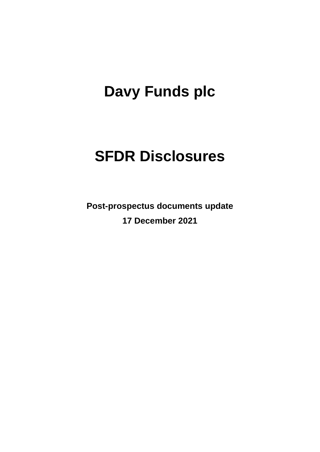# **Davy Funds plc**

# **SFDR Disclosures**

**Post-prospectus documents update 17 December 2021**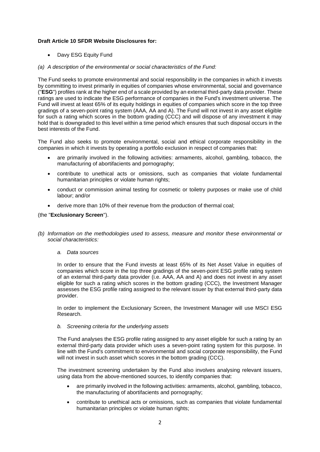# **Draft Article 10 SFDR Website Disclosures for:**

• Davy ESG Equity Fund

# *(a) A description of the environmental or social characteristics of the Fund:*

The Fund seeks to promote environmental and social responsibility in the companies in which it invests by committing to invest primarily in equities of companies whose environmental, social and governance ("**ESG**") profiles rank at the higher end of a scale provided by an external third-party data provider. These ratings are used to indicate the ESG performance of companies in the Fund's investment universe. The Fund will invest at least 65% of its equity holdings in equities of companies which score in the top three gradings of a seven-point rating system (AAA, AA and A). The Fund will not invest in any asset eligible for such a rating which scores in the bottom grading (CCC) and will dispose of any investment it may hold that is downgraded to this level within a time period which ensures that such disposal occurs in the best interests of the Fund.

The Fund also seeks to promote environmental, social and ethical corporate responsibility in the companies in which it invests by operating a portfolio exclusion in respect of companies that:

- are primarily involved in the following activities: armaments, alcohol, gambling, tobacco, the manufacturing of abortifacients and pornography;
- contribute to unethical acts or omissions, such as companies that violate fundamental humanitarian principles or violate human rights;
- conduct or commission animal testing for cosmetic or toiletry purposes or make use of child labour; and/or
- derive more than 10% of their revenue from the production of thermal coal;

# (the "**Exclusionary Screen**").

- *(b) Information on the methodologies used to assess, measure and monitor these environmental or social characteristics:*
	- *a. Data sources*

In order to ensure that the Fund invests at least 65% of its Net Asset Value in equities of companies which score in the top three gradings of the seven-point ESG profile rating system of an external third-party data provider (i.e. AAA, AA and A) and does not invest in any asset eligible for such a rating which scores in the bottom grading (CCC), the Investment Manager assesses the ESG profile rating assigned to the relevant issuer by that external third-party data provider.

In order to implement the Exclusionary Screen, the Investment Manager will use MSCI ESG Research.

#### *b. Screening criteria for the underlying assets*

The Fund analyses the ESG profile rating assigned to any asset eligible for such a rating by an external third-party data provider which uses a seven-point rating system for this purpose. In line with the Fund's commitment to environmental and social corporate responsibility, the Fund will not invest in such asset which scores in the bottom grading (CCC).

The investment screening undertaken by the Fund also involves analysing relevant issuers, using data from the above-mentioned sources, to identify companies that:

- are primarily involved in the following activities: armaments, alcohol, gambling, tobacco, the manufacturing of abortifacients and pornography;
- contribute to unethical acts or omissions, such as companies that violate fundamental humanitarian principles or violate human rights;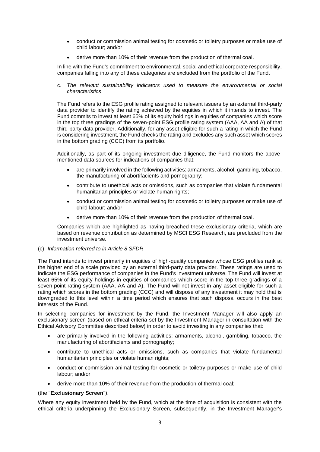- conduct or commission animal testing for cosmetic or toiletry purposes or make use of child labour; and/or
- derive more than 10% of their revenue from the production of thermal coal.

In line with the Fund's commitment to environmental, social and ethical corporate responsibility, companies falling into any of these categories are excluded from the portfolio of the Fund.

c. *The relevant sustainability indicators used to measure the environmental or social characteristics* 

The Fund refers to the ESG profile rating assigned to relevant issuers by an external third-party data provider to identify the rating achieved by the equities in which it intends to invest. The Fund commits to invest at least 65% of its equity holdings in equities of companies which score in the top three gradings of the seven-point ESG profile rating system (AAA, AA and A) of that third-party data provider. Additionally, for any asset eligible for such a rating in which the Fund is considering investment, the Fund checks the rating and excludes any such asset which scores in the bottom grading (CCC) from its portfolio.

Additionally, as part of its ongoing investment due diligence, the Fund monitors the abovementioned data sources for indications of companies that:

- are primarily involved in the following activities: armaments, alcohol, gambling, tobacco, the manufacturing of abortifacients and pornography;
- contribute to unethical acts or omissions, such as companies that violate fundamental humanitarian principles or violate human rights;
- conduct or commission animal testing for cosmetic or toiletry purposes or make use of child labour; and/or
- derive more than 10% of their revenue from the production of thermal coal.

Companies which are highlighted as having breached these exclusionary criteria, which are based on revenue contribution as determined by MSCI ESG Research, are precluded from the investment universe.

#### (c) *Information referred to in Article 8 SFDR*

The Fund intends to invest primarily in equities of high-quality companies whose ESG profiles rank at the higher end of a scale provided by an external third-party data provider. These ratings are used to indicate the ESG performance of companies in the Fund's investment universe. The Fund will invest at least 65% of its equity holdings in equities of companies which score in the top three gradings of a seven-point rating system (AAA, AA and A). The Fund will not invest in any asset eligible for such a rating which scores in the bottom grading (CCC) and will dispose of any investment it may hold that is downgraded to this level within a time period which ensures that such disposal occurs in the best interests of the Fund.

In selecting companies for investment by the Fund, the Investment Manager will also apply an exclusionary screen (based on ethical criteria set by the Investment Manager in consultation with the Ethical Advisory Committee described below) in order to avoid investing in any companies that:

- are primarily involved in the following activities: armaments, alcohol, gambling, tobacco, the manufacturing of abortifacients and pornography;
- contribute to unethical acts or omissions, such as companies that violate fundamental humanitarian principles or violate human rights;
- conduct or commission animal testing for cosmetic or toiletry purposes or make use of child labour; and/or
- derive more than 10% of their revenue from the production of thermal coal;

# (the "**Exclusionary Screen**").

Where any equity investment held by the Fund, which at the time of acquisition is consistent with the ethical criteria underpinning the Exclusionary Screen, subsequently, in the Investment Manager's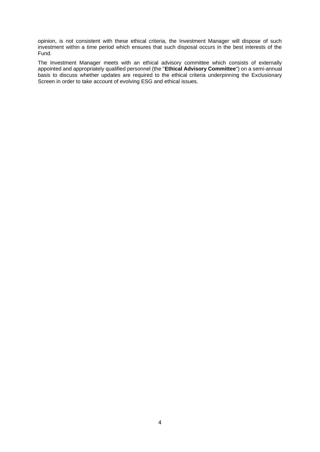opinion, is not consistent with these ethical criteria, the Investment Manager will dispose of such investment within a time period which ensures that such disposal occurs in the best interests of the Fund.

The Investment Manager meets with an ethical advisory committee which consists of externally appointed and appropriately qualified personnel (the "**Ethical Advisory Committee**") on a semi-annual basis to discuss whether updates are required to the ethical criteria underpinning the Exclusionary Screen in order to take account of evolving ESG and ethical issues.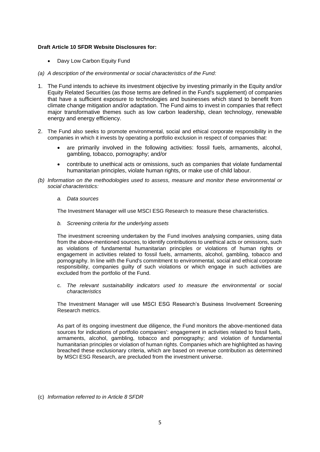## **Draft Article 10 SFDR Website Disclosures for:**

- Davy Low Carbon Equity Fund
- *(a) A description of the environmental or social characteristics of the Fund:*
- 1. The Fund intends to achieve its investment objective by investing primarily in the Equity and/or Equity Related Securities (as those terms are defined in the Fund's supplement) of companies that have a sufficient exposure to technologies and businesses which stand to benefit from climate change mitigation and/or adaptation. The Fund aims to invest in companies that reflect major transformative themes such as low carbon leadership, clean technology, renewable energy and energy efficiency.
- 2. The Fund also seeks to promote environmental, social and ethical corporate responsibility in the companies in which it invests by operating a portfolio exclusion in respect of companies that:
	- are primarily involved in the following activities: fossil fuels, armaments, alcohol, gambling, tobacco, pornography; and/or
	- contribute to unethical acts or omissions, such as companies that violate fundamental humanitarian principles, violate human rights, or make use of child labour.
- *(b) Information on the methodologies used to assess, measure and monitor these environmental or social characteristics:*
	- *a. Data sources*

The Investment Manager will use MSCI ESG Research to measure these characteristics.

*b. Screening criteria for the underlying assets* 

The investment screening undertaken by the Fund involves analysing companies, using data from the above-mentioned sources, to identify contributions to unethical acts or omissions, such as violations of fundamental humanitarian principles or violations of human rights or engagement in activities related to fossil fuels, armaments, alcohol, gambling, tobacco and pornography. In line with the Fund's commitment to environmental, social and ethical corporate responsibility, companies guilty of such violations or which engage in such activities are excluded from the portfolio of the Fund.

c. *The relevant sustainability indicators used to measure the environmental or social characteristics* 

The Investment Manager will use MSCI ESG Research's Business Involvement Screening Research metrics.

As part of its ongoing investment due diligence, the Fund monitors the above-mentioned data sources for indications of portfolio companies': engagement in activities related to fossil fuels, armaments, alcohol, gambling, tobacco and pornography; and violation of fundamental humanitarian principles or violation of human rights. Companies which are highlighted as having breached these exclusionary criteria, which are based on revenue contribution as determined by MSCI ESG Research, are precluded from the investment universe.

(c) *Information referred to in Article 8 SFDR*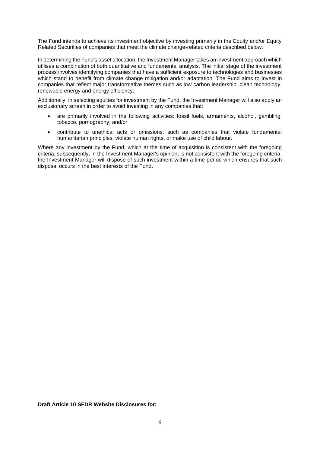The Fund intends to achieve its investment objective by investing primarily in the Equity and/or Equity Related Securities of companies that meet the climate change-related criteria described below.

In determining the Fund's asset allocation, the Investment Manager takes an investment approach which utilises a combination of both quantitative and fundamental analysis. The initial stage of the investment process involves identifying companies that have a sufficient exposure to technologies and businesses which stand to benefit from climate change mitigation and/or adaptation. The Fund aims to invest in companies that reflect major transformative themes such as low carbon leadership, clean technology, renewable energy and energy efficiency.

Additionally, in selecting equities for investment by the Fund, the Investment Manager will also apply an exclusionary screen in order to avoid investing in any companies that:

- are primarily involved in the following activities: fossil fuels, armaments, alcohol, gambling, tobacco, pornography; and/or
- contribute to unethical acts or omissions, such as companies that violate fundamental humanitarian principles, violate human rights, or make use of child labour.

Where any investment by the Fund, which at the time of acquisition is consistent with the foregoing criteria, subsequently, in the Investment Manager's opinion, is not consistent with the foregoing criteria, the Investment Manager will dispose of such investment within a time period which ensures that such disposal occurs in the best interests of the Fund.

**Draft Article 10 SFDR Website Disclosures for:**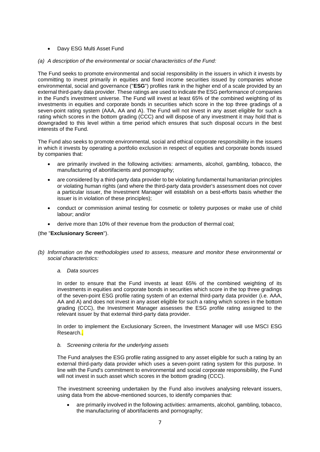- Davy ESG Multi Asset Fund
- *(a) A description of the environmental or social characteristics of the Fund:*

The Fund seeks to promote environmental and social responsibility in the issuers in which it invests by committing to invest primarily in equities and fixed income securities issued by companies whose environmental, social and governance ("**ESG**") profiles rank in the higher end of a scale provided by an external third-party data provider. These ratings are used to indicate the ESG performance of companies in the Fund's investment universe. The Fund will invest at least 65% of the combined weighting of its investments in equities and corporate bonds in securities which score in the top three gradings of a seven-point rating system (AAA, AA and A). The Fund will not invest in any asset eligible for such a rating which scores in the bottom grading (CCC) and will dispose of any investment it may hold that is downgraded to this level within a time period which ensures that such disposal occurs in the best interests of the Fund.

The Fund also seeks to promote environmental, social and ethical corporate responsibility in the issuers in which it invests by operating a portfolio exclusion in respect of equities and corporate bonds issued by companies that:

- are primarily involved in the following activities: armaments, alcohol, gambling, tobacco, the manufacturing of abortifacients and pornography;
- are considered by a third-party data provider to be violating fundamental humanitarian principles or violating human rights (and where the third-party data provider's assessment does not cover a particular issuer, the Investment Manager will establish on a best-efforts basis whether the issuer is in violation of these principles);
- conduct or commission animal testing for cosmetic or toiletry purposes or make use of child labour; and/or
- derive more than 10% of their revenue from the production of thermal coal;

# (the "**Exclusionary Screen**").

- *(b) Information on the methodologies used to assess, measure and monitor these environmental or social characteristics:*
	- *a. Data sources*

In order to ensure that the Fund invests at least 65% of the combined weighting of its investments in equities and corporate bonds in securities which score in the top three gradings of the seven-point ESG profile rating system of an external third-party data provider (i.e. AAA, AA and A) and does not invest in any asset eligible for such a rating which scores in the bottom grading (CCC), the Investment Manager assesses the ESG profile rating assigned to the relevant issuer by that external third-party data provider.

In order to implement the Exclusionary Screen, the Investment Manager will use MSCI ESG Research..

*b. Screening criteria for the underlying assets* 

The Fund analyses the ESG profile rating assigned to any asset eligible for such a rating by an external third-party data provider which uses a seven-point rating system for this purpose. In line with the Fund's commitment to environmental and social corporate responsibility, the Fund will not invest in such asset which scores in the bottom grading (CCC).

The investment screening undertaken by the Fund also involves analysing relevant issuers, using data from the above-mentioned sources, to identify companies that:

• are primarily involved in the following activities: armaments, alcohol, gambling, tobacco, the manufacturing of abortifacients and pornography;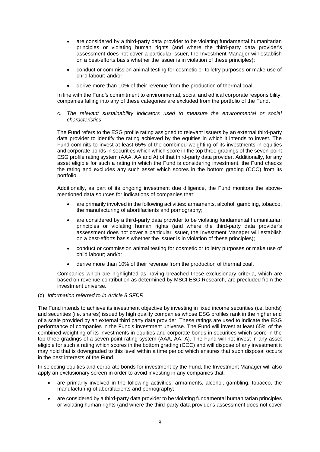- are considered by a third-party data provider to be violating fundamental humanitarian principles or violating human rights (and where the third-party data provider's assessment does not cover a particular issuer, the Investment Manager will establish on a best-efforts basis whether the issuer is in violation of these principles);
- conduct or commission animal testing for cosmetic or toiletry purposes or make use of child labour; and/or
- derive more than 10% of their revenue from the production of thermal coal.

In line with the Fund's commitment to environmental, social and ethical corporate responsibility, companies falling into any of these categories are excluded from the portfolio of the Fund.

c. *The relevant sustainability indicators used to measure the environmental or social characteristics* 

The Fund refers to the ESG profile rating assigned to relevant issuers by an external third-party data provider to identify the rating achieved by the equities in which it intends to invest. The Fund commits to invest at least 65% of the combined weighting of its investments in equities and corporate bonds in securities which which score in the top three gradings of the seven-point ESG profile rating system (AAA, AA and A) of that third-party data provider. Additionally, for any asset eligible for such a rating in which the Fund is considering investment, the Fund checks the rating and excludes any such asset which scores in the bottom grading (CCC) from its portfolio.

Additionally, as part of its ongoing investment due diligence, the Fund monitors the abovementioned data sources for indications of companies that:

- are primarily involved in the following activities: armaments, alcohol, gambling, tobacco, the manufacturing of abortifacients and pornography;
- are considered by a third-party data provider to be violating fundamental humanitarian principles or violating human rights (and where the third-party data provider's assessment does not cover a particular issuer, the Investment Manager will establish on a best-efforts basis whether the issuer is in violation of these principles);
- conduct or commission animal testing for cosmetic or toiletry purposes or make use of child labour; and/or
- derive more than 10% of their revenue from the production of thermal coal.

Companies which are highlighted as having breached these exclusionary criteria, which are based on revenue contribution as determined by MSCI ESG Research, are precluded from the investment universe.

(c) *Information referred to in Article 8 SFDR*

The Fund intends to achieve its investment objective by investing in fixed income securities (i.e. bonds) and securities (i.e. shares) issued by high quality companies whose ESG profiles rank in the higher end of a scale provided by an external third party data provider. These ratings are used to indicate the ESG performance of companies in the Fund's investment universe. The Fund will invest at least 65% of the combined weighting of its investments in equities and corporate bonds in securities which score in the top three gradings of a seven-point rating system (AAA, AA, A). The Fund will not invest in any asset eligible for such a rating which scores in the bottom grading (CCC) and will dispose of any investment it may hold that is downgraded to this level within a time period which ensures that such disposal occurs in the best interests of the Fund.

In selecting equities and corporate bonds for investment by the Fund, the Investment Manager will also apply an exclusionary screen in order to avoid investing in any companies that:

- are primarily involved in the following activities: armaments, alcohol, gambling, tobacco, the manufacturing of abortifacients and pornography;
- are considered by a third-party data provider to be violating fundamental humanitarian principles or violating human rights (and where the third-party data provider's assessment does not cover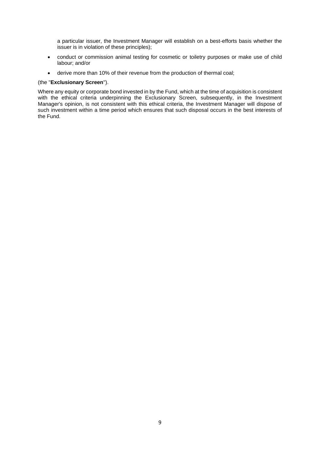a particular issuer, the Investment Manager will establish on a best-efforts basis whether the issuer is in violation of these principles);

- conduct or commission animal testing for cosmetic or toiletry purposes or make use of child labour; and/or
- derive more than 10% of their revenue from the production of thermal coal;

### (the "**Exclusionary Screen**").

Where any equity or corporate bond invested in by the Fund, which at the time of acquisition is consistent with the ethical criteria underpinning the Exclusionary Screen, subsequently, in the Investment Manager's opinion, is not consistent with this ethical criteria, the Investment Manager will dispose of such investment within a time period which ensures that such disposal occurs in the best interests of the Fund.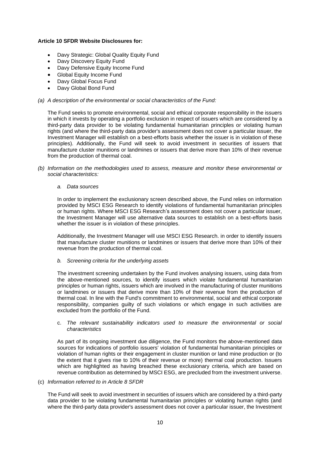### **Article 10 SFDR Website Disclosures for:**

- Davy Strategic: Global Quality Equity Fund
- Davy Discovery Equity Fund
- Davy Defensive Equity Income Fund
- Global Equity Income Fund
- Davy Global Focus Fund
- Davy Global Bond Fund

#### *(a) A description of the environmental or social characteristics of the Fund:*

The Fund seeks to promote environmental, social and ethical corporate responsibility in the issuers in which it invests by operating a portfolio exclusion in respect of issuers which are considered by a third-party data provider to be violating fundamental humanitarian principles or violating human rights (and where the third-party data provider's assessment does not cover a particular issuer, the Investment Manager will establish on a best-efforts basis whether the issuer is in violation of these principles). Additionally, the Fund will seek to avoid investment in securities of issuers that manufacture cluster munitions or landmines or issuers that derive more than 10% of their revenue from the production of thermal coal.

*(b) Information on the methodologies used to assess, measure and monitor these environmental or social characteristics:*

#### *a. Data sources*

In order to implement the exclusionary screen described above, the Fund relies on information provided by MSCI ESG Research to identify violations of fundamental humanitarian principles or human rights. Where MSCI ESG Research's assessment does not cover a particular issuer, the Investment Manager will use alternative data sources to establish on a best-efforts basis whether the issuer is in violation of these principles.

Additionally, the Investment Manager will use MSCI ESG Research. in order to identify issuers that manufacture cluster munitions or landmines or issuers that derive more than 10% of their revenue from the production of thermal coal.

*b. Screening criteria for the underlying assets* 

The investment screening undertaken by the Fund involves analysing issuers, using data from the above-mentioned sources, to identify issuers which violate fundamental humanitarian principles or human rights, issuers which are involved in the manufacturing of cluster munitions or landmines or issuers that derive more than 10% of their revenue from the production of thermal coal. In line with the Fund's commitment to environmental, social and ethical corporate responsibility, companies guilty of such violations or which engage in such activities are excluded from the portfolio of the Fund.

#### c. *The relevant sustainability indicators used to measure the environmental or social characteristics*

As part of its ongoing investment due diligence, the Fund monitors the above-mentioned data sources for indications of portfolio issuers' violation of fundamental humanitarian principles or violation of human rights or their engagement in cluster munition or land mine production or (to the extent that it gives rise to 10% of their revenue or more) thermal coal production. Issuers which are highlighted as having breached these exclusionary criteria, which are based on revenue contribution as determined by MSCI ESG, are precluded from the investment universe.

#### (c) *Information referred to in Article 8 SFDR*

The Fund will seek to avoid investment in securities of issuers which are considered by a third-party data provider to be violating fundamental humanitarian principles or violating human rights (and where the third-party data provider's assessment does not cover a particular issuer, the Investment